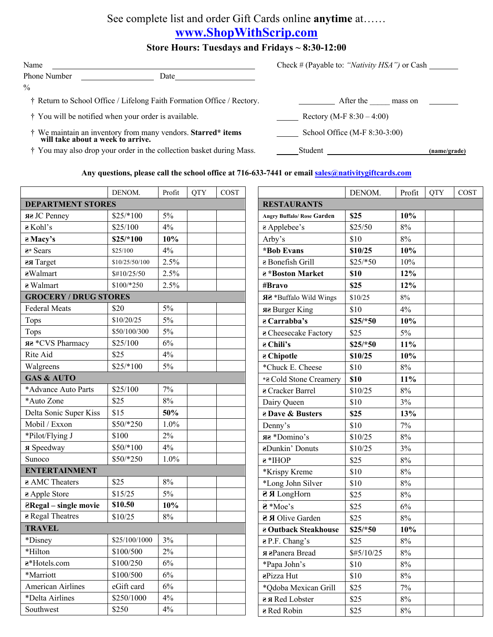## See complete list and order Gift Cards online **anytime** at……

## **www.ShopWithScrip.com**

## **Store Hours: Tuesdays and Fridays ~ 8:30-12:00**

| Name          |      |  |
|---------------|------|--|
| Phone Number  | Date |  |
| $\frac{0}{0}$ |      |  |

† Return to School Office / Lifelong Faith Formation Office / Rectory. After the \_\_\_\_\_ mass on

 $\dagger$  You will be notified when your order is available. Rectory (M-F 8:30 – 4:00)

† We maintain an inventory from many vendors. **Starred\* items** School Office (M-F 8:30-3:00) will take about a week to arrive.

† You may also drop your order in the collection basket during Mass. Student **(name/grade)**

Name Check # (Payable to: *"Nativity HSA")* or Cash

## **Any questions, please call the school office at 716-633-7441 or email sales@nativitygiftcards.com**

|                              | DENOM.         | Profit | <b>QTY</b> | COST |                                   | DENOM.     | Profit | <b>QTY</b> | COST |
|------------------------------|----------------|--------|------------|------|-----------------------------------|------------|--------|------------|------|
| <b>DEPARTMENT STORES</b>     |                |        |            |      | <b>RESTAURANTS</b>                |            |        |            |      |
| яз JC Penney                 | $$25/*100$     | 5%     |            |      | <b>Angry Buffalo/ Rose Garden</b> | \$25       | 10%    |            |      |
| a Kohl's                     | \$25/100       | 4%     |            |      | a Applebee's                      | \$25/50    | 8%     |            |      |
| a Macy's                     | $$25/*100$     | 10%    |            |      | Arby's                            | \$10       | 8%     |            |      |
| a* Sears                     | \$25/100       | 4%     |            |      | *Bob Evans                        | \$10/25    | 10%    |            |      |
| <b>as Target</b>             | \$10/25/50/100 | 2.5%   |            |      | a Bonefish Grill                  | $$25/*50$  | 10%    |            |      |
| aWalmart                     | \$#10/25/50    | 2.5%   |            |      | a *Boston Market                  | \$10       | 12%    |            |      |
| a Walmart                    | $$100/*250$    | 2.5%   |            |      | #Bravo                            | \$25       | 12%    |            |      |
| <b>GROCERY / DRUG STORES</b> |                |        |            |      | ЯЗ *Buffalo Wild Wings<br>\$10/25 |            | $8\%$  |            |      |
| <b>Federal Meats</b>         | \$20           | 5%     |            |      | яғ Burger King                    | \$10       | 4%     |            |      |
| Tops                         | \$10/20/25     | 5%     |            |      | $\overline{e}$ Carrabba's         | $$25/*50$  | 10%    |            |      |
| Tops                         | \$50/100/300   | 5%     |            |      | a Cheesecake Factory              | \$25       | $5\%$  |            |      |
| яе *CVS Pharmacy             | \$25/100       | 6%     |            |      | a Chili's                         | $$25/*50$  | 11%    |            |      |
| Rite Aid                     | \$25           | 4%     |            |      | a Chipotle                        | \$10/25    | 10%    |            |      |
| Walgreens                    | $$25/*100$     | 5%     |            |      | *Chuck E. Cheese                  | \$10       | $8\%$  |            |      |
| <b>GAS &amp; AUTO</b>        |                |        |            |      | *a Cold Stone Creamery            | \$10       | 11%    |            |      |
| *Advance Auto Parts          | \$25/100       | 7%     |            |      | a Cracker Barrel                  | \$10/25    | $8\%$  |            |      |
| *Auto Zone                   | \$25           | $8\%$  |            |      | Dairy Queen                       | \$10       | 3%     |            |      |
| Delta Sonic Super Kiss       | \$15           | 50%    |            |      | a Dave & Busters                  | \$25       | 13%    |            |      |
| Mobil / Exxon                | $$50/*250$     | 1.0%   |            |      | Denny's                           | \$10       | 7%     |            |      |
| *Pilot/Flying J              | \$100          | 2%     |            |      | яг *Domino's                      | \$10/25    | $8\%$  |            |      |
| я Speedway                   | $$50/*100$     | 4%     |            |      | aDunkin' Donuts                   | \$10/25    | 3%     |            |      |
| Sunoco                       | $$50/*250$     | 1.0%   |            |      | a*IHOP                            | \$25       | 8%     |            |      |
| <b>ENTERTAINMENT</b>         |                |        |            |      | *Krispy Kreme                     | \$10       | 8%     |            |      |
| a AMC Theaters               | \$25           | $8\%$  |            |      | *Long John Silver                 | \$10       | 8%     |            |      |
| a Apple Store                | \$15/25        | 5%     |            |      | <b>a</b> <i>R</i> LongHorn        | \$25       | $8\%$  |            |      |
| <b>ZRegal</b> – single movie | \$10.50        | 10%    |            |      | a *Moe's                          | \$25       | 6%     |            |      |
| a Regal Theatres             | \$10/25        | 8%     |            |      | <b>&amp; A</b> Olive Garden       | \$25       | $8\%$  |            |      |
| <b>TRAVEL</b>                |                |        |            |      | <b>a Outback Steakhouse</b>       | $$25/*50$  | 10%    |            |      |
| *Disney                      | \$25/100/1000  | 3%     |            |      | a P.F. Chang's                    | \$25       | $8\%$  |            |      |
| *Hilton                      | \$100/500      | $2\%$  |            |      | я aPanera Bread                   | \$#5/10/25 | 8%     |            |      |
| a*Hotels.com                 | \$100/250      | 6%     |            |      | *Papa John's                      | \$10       | $8\%$  |            |      |
| *Marriott                    | \$100/500      | $6\%$  |            |      | aPizza Hut                        | \$10       | $8\%$  |            |      |
| American Airlines            | eGift card     | 6%     |            |      | *Qdoba Mexican Grill              | \$25       | 7%     |            |      |
| *Delta Airlines              | \$250/1000     | 4%     |            |      | ая Red Lobster                    | \$25       | 8%     |            |      |
| Southwest                    | \$250          | 4%     |            |      | a Red Robin                       | \$25       | $8\%$  |            |      |